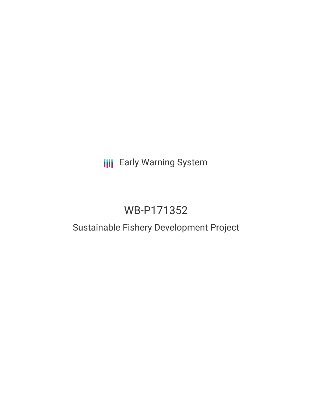# **III** Early Warning System

# WB-P171352

# Sustainable Fishery Development Project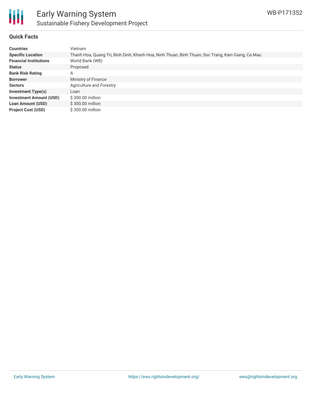

# **Quick Facts**

| <b>Countries</b>               | Vietnam                                                                                           |
|--------------------------------|---------------------------------------------------------------------------------------------------|
| <b>Specific Location</b>       | Thanh Hoa, Quang Tri, Binh Dinh, Khanh Hoa, Ninh Thuan, Binh Thuan, Soc Trang, Kien Giang, Ca Mau |
| <b>Financial Institutions</b>  | World Bank (WB)                                                                                   |
| <b>Status</b>                  | Proposed                                                                                          |
| <b>Bank Risk Rating</b>        | А                                                                                                 |
| <b>Borrower</b>                | Ministry of Finance                                                                               |
| <b>Sectors</b>                 | Agriculture and Forestry                                                                          |
| <b>Investment Type(s)</b>      | Loan                                                                                              |
| <b>Investment Amount (USD)</b> | $$300.00$ million                                                                                 |
| <b>Loan Amount (USD)</b>       | \$300.00 million                                                                                  |
| <b>Project Cost (USD)</b>      | \$300.00 million                                                                                  |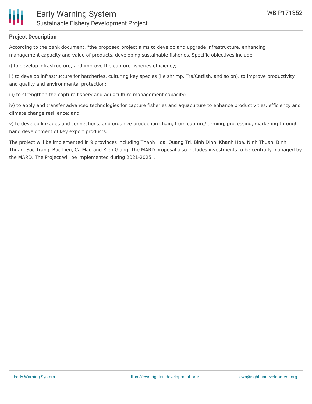

# **Project Description**

According to the bank document, "the proposed project aims to develop and upgrade infrastructure, enhancing management capacity and value of products, developing sustainable fisheries. Specific objectives include

i) to develop infrastructure, and improve the capture fisheries efficiency;

ii) to develop infrastructure for hatcheries, culturing key species (i.e shrimp, Tra/Catfish, and so on), to improve productivity and quality and environmental protection;

iii) to strengthen the capture fishery and aquaculture management capacity;

iv) to apply and transfer advanced technologies for capture fisheries and aquaculture to enhance productivities, efficiency and climate change resilience; and

v) to develop linkages and connections, and organize production chain, from capture/farming, processing, marketing through band development of key export products.

The project will be implemented in 9 provinces including Thanh Hoa, Quang Tri, Binh Dinh, Khanh Hoa, Ninh Thuan, Binh Thuan, Soc Trang, Bac Lieu, Ca Mau and Kien Giang. The MARD proposal also includes investments to be centrally managed by the MARD. The Project will be implemented during 2021-2025".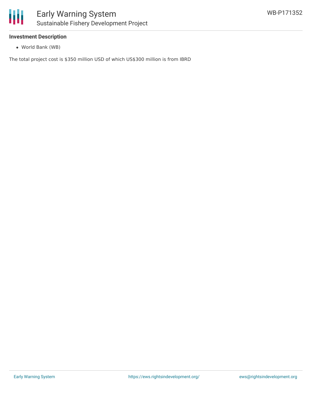

### **Investment Description**

World Bank (WB)

The total project cost is \$350 million USD of which US\$300 million is from IBRD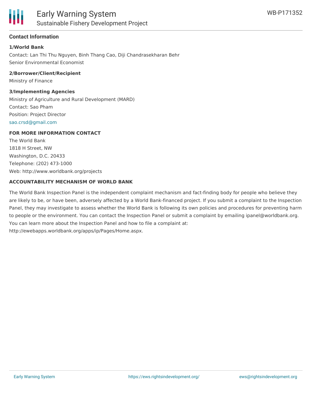

## **Contact Information**

#### **1/World Bank**

Contact: Lan Thi Thu Nguyen, Binh Thang Cao, Diji Chandrasekharan Behr Senior Environmental Economist

#### **2/Borrower/Client/Recipient**

Ministry of Finance

#### **3/Implementing Agencies**

Ministry of Agriculture and Rural Development (MARD) Contact: Sao Pham Position: Project Director [sao.crsd@gmail.com](mailto:sao.crsd@gmail.com)

### **FOR MORE INFORMATION CONTACT**

The World Bank 1818 H Street, NW Washington, D.C. 20433 Telephone: (202) 473-1000 Web: http://www.worldbank.org/projects

#### **ACCOUNTABILITY MECHANISM OF WORLD BANK**

The World Bank Inspection Panel is the independent complaint mechanism and fact-finding body for people who believe they are likely to be, or have been, adversely affected by a World Bank-financed project. If you submit a complaint to the Inspection Panel, they may investigate to assess whether the World Bank is following its own policies and procedures for preventing harm to people or the environment. You can contact the Inspection Panel or submit a complaint by emailing ipanel@worldbank.org. You can learn more about the Inspection Panel and how to file a complaint at: http://ewebapps.worldbank.org/apps/ip/Pages/Home.aspx.